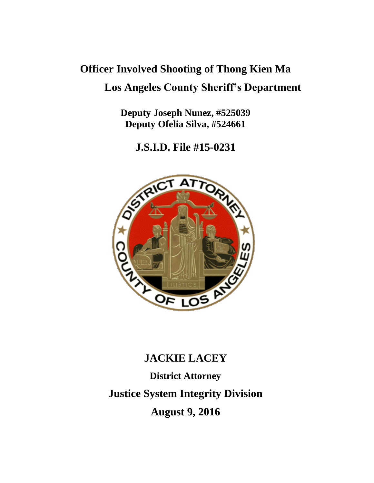# **Officer Involved Shooting of Thong Kien Ma Los Angeles County Sheriff's Department**

**Deputy Joseph Nunez, #525039 Deputy Ofelia Silva, #524661**

**J.S.I.D. File #15-0231**



# **JACKIE LACEY District Attorney Justice System Integrity Division August 9, 2016**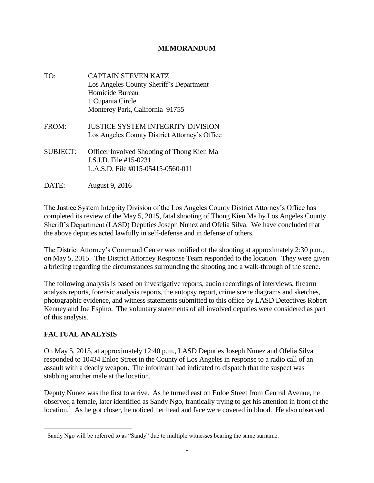#### **MEMORANDUM**

- TO: CAPTAIN STEVEN KATZ Los Angeles County Sheriff's Department Homicide Bureau 1 Cupania Circle Monterey Park, California 91755
- FROM: JUSTICE SYSTEM INTEGRITY DIVISION Los Angeles County District Attorney's Office
- SUBJECT: Officer Involved Shooting of Thong Kien Ma J.S.I.D. File #15-0231 L.A.S.D. File #015-05415-0560-011
- DATE: August 9, 2016

The Justice System Integrity Division of the Los Angeles County District Attorney's Office has completed its review of the May 5, 2015, fatal shooting of Thong Kien Ma by Los Angeles County Sheriff's Department (LASD) Deputies Joseph Nunez and Ofelia Silva. We have concluded that the above deputies acted lawfully in self-defense and in defense of others.

The District Attorney's Command Center was notified of the shooting at approximately 2:30 p.m., on May 5, 2015. The District Attorney Response Team responded to the location. They were given a briefing regarding the circumstances surrounding the shooting and a walk-through of the scene.

The following analysis is based on investigative reports, audio recordings of interviews, firearm analysis reports, forensic analysis reports, the autopsy report, crime scene diagrams and sketches, photographic evidence, and witness statements submitted to this office by LASD Detectives Robert Kenney and Joe Espino. The voluntary statements of all involved deputies were considered as part of this analysis.

## **FACTUAL ANALYSIS**

 $\overline{\phantom{a}}$ 

On May 5, 2015, at approximately 12:40 p.m., LASD Deputies Joseph Nunez and Ofelia Silva responded to 10434 Enloe Street in the County of Los Angeles in response to a radio call of an assault with a deadly weapon. The informant had indicated to dispatch that the suspect was stabbing another male at the location.

Deputy Nunez was the first to arrive. As he turned east on Enloe Street from Central Avenue, he observed a female, later identified as Sandy Ngo, frantically trying to get his attention in front of the location.<sup>1</sup> As he got closer, he noticed her head and face were covered in blood. He also observed

<sup>&</sup>lt;sup>1</sup> Sandy Ngo will be referred to as "Sandy" due to multiple witnesses bearing the same surname.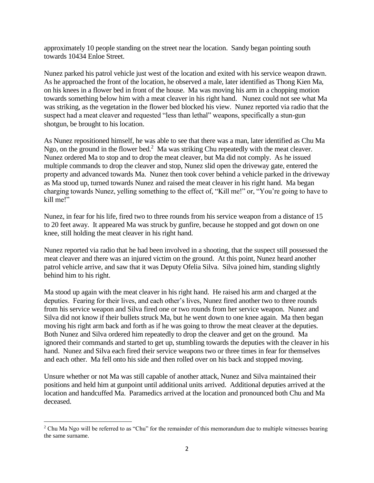approximately 10 people standing on the street near the location. Sandy began pointing south towards 10434 Enloe Street.

Nunez parked his patrol vehicle just west of the location and exited with his service weapon drawn. As he approached the front of the location, he observed a male, later identified as Thong Kien Ma, on his knees in a flower bed in front of the house. Ma was moving his arm in a chopping motion towards something below him with a meat cleaver in his right hand. Nunez could not see what Ma was striking, as the vegetation in the flower bed blocked his view. Nunez reported via radio that the suspect had a meat cleaver and requested "less than lethal" weapons, specifically a stun-gun shotgun, be brought to his location.

As Nunez repositioned himself, he was able to see that there was a man, later identified as Chu Ma Ngo, on the ground in the flower bed.<sup>2</sup> Ma was striking Chu repeatedly with the meat cleaver. Nunez ordered Ma to stop and to drop the meat cleaver, but Ma did not comply. As he issued multiple commands to drop the cleaver and stop, Nunez slid open the driveway gate, entered the property and advanced towards Ma. Nunez then took cover behind a vehicle parked in the driveway as Ma stood up, turned towards Nunez and raised the meat cleaver in his right hand. Ma began charging towards Nunez, yelling something to the effect of, "Kill me!" or, "You're going to have to kill me!"

Nunez, in fear for his life, fired two to three rounds from his service weapon from a distance of 15 to 20 feet away. It appeared Ma was struck by gunfire, because he stopped and got down on one knee, still holding the meat cleaver in his right hand.

Nunez reported via radio that he had been involved in a shooting, that the suspect still possessed the meat cleaver and there was an injured victim on the ground. At this point, Nunez heard another patrol vehicle arrive, and saw that it was Deputy Ofelia Silva. Silva joined him, standing slightly behind him to his right.

Ma stood up again with the meat cleaver in his right hand. He raised his arm and charged at the deputies. Fearing for their lives, and each other's lives, Nunez fired another two to three rounds from his service weapon and Silva fired one or two rounds from her service weapon. Nunez and Silva did not know if their bullets struck Ma, but he went down to one knee again. Ma then began moving his right arm back and forth as if he was going to throw the meat cleaver at the deputies. Both Nunez and Silva ordered him repeatedly to drop the cleaver and get on the ground. Ma ignored their commands and started to get up, stumbling towards the deputies with the cleaver in his hand. Nunez and Silva each fired their service weapons two or three times in fear for themselves and each other. Ma fell onto his side and then rolled over on his back and stopped moving.

Unsure whether or not Ma was still capable of another attack, Nunez and Silva maintained their positions and held him at gunpoint until additional units arrived. Additional deputies arrived at the location and handcuffed Ma. Paramedics arrived at the location and pronounced both Chu and Ma deceased.

 $\overline{\phantom{a}}$  $2$  Chu Ma Ngo will be referred to as "Chu" for the remainder of this memorandum due to multiple witnesses bearing the same surname.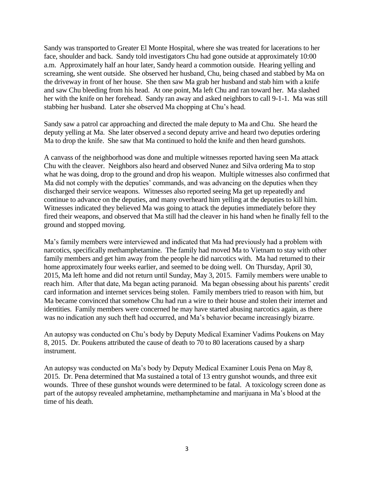Sandy was transported to Greater El Monte Hospital, where she was treated for lacerations to her face, shoulder and back. Sandy told investigators Chu had gone outside at approximately 10:00 a.m. Approximately half an hour later, Sandy heard a commotion outside. Hearing yelling and screaming, she went outside. She observed her husband, Chu, being chased and stabbed by Ma on the driveway in front of her house. She then saw Ma grab her husband and stab him with a knife and saw Chu bleeding from his head. At one point, Ma left Chu and ran toward her. Ma slashed her with the knife on her forehead. Sandy ran away and asked neighbors to call 9-1-1. Ma was still stabbing her husband. Later she observed Ma chopping at Chu's head.

Sandy saw a patrol car approaching and directed the male deputy to Ma and Chu. She heard the deputy yelling at Ma. She later observed a second deputy arrive and heard two deputies ordering Ma to drop the knife. She saw that Ma continued to hold the knife and then heard gunshots.

A canvass of the neighborhood was done and multiple witnesses reported having seen Ma attack Chu with the cleaver. Neighbors also heard and observed Nunez and Silva ordering Ma to stop what he was doing, drop to the ground and drop his weapon. Multiple witnesses also confirmed that Ma did not comply with the deputies' commands, and was advancing on the deputies when they discharged their service weapons. Witnesses also reported seeing Ma get up repeatedly and continue to advance on the deputies, and many overheard him yelling at the deputies to kill him. Witnesses indicated they believed Ma was going to attack the deputies immediately before they fired their weapons, and observed that Ma still had the cleaver in his hand when he finally fell to the ground and stopped moving.

Ma's family members were interviewed and indicated that Ma had previously had a problem with narcotics, specifically methamphetamine. The family had moved Ma to Vietnam to stay with other family members and get him away from the people he did narcotics with. Ma had returned to their home approximately four weeks earlier, and seemed to be doing well. On Thursday, April 30, 2015, Ma left home and did not return until Sunday, May 3, 2015. Family members were unable to reach him. After that date, Ma began acting paranoid. Ma began obsessing about his parents' credit card information and internet services being stolen. Family members tried to reason with him, but Ma became convinced that somehow Chu had run a wire to their house and stolen their internet and identities. Family members were concerned he may have started abusing narcotics again, as there was no indication any such theft had occurred, and Ma's behavior became increasingly bizarre.

An autopsy was conducted on Chu's body by Deputy Medical Examiner Vadims Poukens on May 8, 2015. Dr. Poukens attributed the cause of death to 70 to 80 lacerations caused by a sharp instrument.

An autopsy was conducted on Ma's body by Deputy Medical Examiner Louis Pena on May 8, 2015. Dr. Pena determined that Ma sustained a total of 13 entry gunshot wounds, and three exit wounds. Three of these gunshot wounds were determined to be fatal. A toxicology screen done as part of the autopsy revealed amphetamine, methamphetamine and marijuana in Ma's blood at the time of his death.